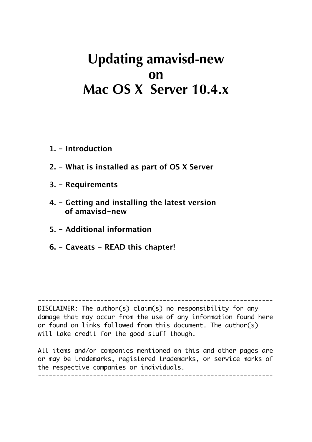# **Updating amavisd-new on Mac OS X Server 10.4.x**

- **1. Introduction**
- **2. What is installed as part of OS X Server**
- **3. Requirements**
- **4. Getting and installing the latest version of amavisd-new**
- **5. Additional information**
- **6. Caveats READ this chapter!**

DISCLAIMER: The author(s) claim(s) no responsibility for any damage that may occur from the use of any information found here or found on links followed from this document. The author(s) will take credit for the good stuff though.

----------------------------------------------------------------

All items and/or companies mentioned on this and other pages are or may be trademarks, registered trademarks, or service marks of the respective companies or individuals. ----------------------------------------------------------------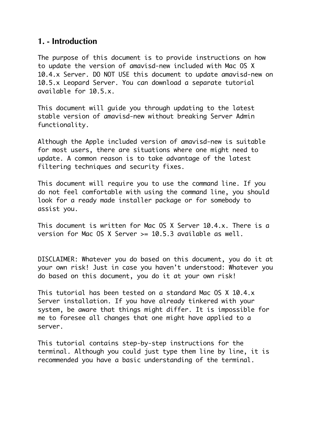#### **1. - Introduction**

The purpose of this document is to provide instructions on how to update the version of amavisd-new included with Mac OS X 10.4.x Server. DO NOT USE this document to update amavisd-new on 10.5.x Leopard Server. You can download a separate tutorial available for 10.5.x.

This document will guide you through updating to the latest stable version of amavisd-new without breaking Server Admin functionality.

Although the Apple included version of amavisd-new is suitable for most users, there are situations where one might need to update. A common reason is to take advantage of the latest filtering techniques and security fixes.

This document will require you to use the command line. If you do not feel comfortable with using the command line, you should look for a ready made installer package or for somebody to assist you.

This document is written for Mac OS X Server 10.4.x. There is a version for Mac OS X Server  $> = 10.5.3$  available as well.

DISCLAIMER: Whatever you do based on this document, you do it at your own risk! Just in case you haven't understood: Whatever you do based on this document, you do it at your own risk!

This tutorial has been tested on a standard Mac OS X 10.4.x Server installation. If you have already tinkered with your system, be aware that things might differ. It is impossible for me to foresee all changes that one might have applied to a server.

This tutorial contains step-by-step instructions for the terminal. Although you could just type them line by line, it is recommended you have a basic understanding of the terminal.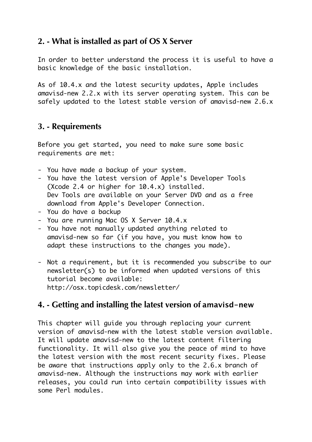# **2. - What is installed as part of OS X Server**

In order to better understand the process it is useful to have a basic knowledge of the basic installation.

As of 10.4.x and the latest security updates, Apple includes amavisd-new 2.2.x with its server operating system. This can be safely updated to the latest stable version of amavisd-new 2.6.x

## **3. - Requirements**

Before you get started, you need to make sure some basic requirements are met:

- You have made a backup of your system.
- You have the latest version of Apple's Developer Tools (Xcode 2.4 or higher for 10.4.x) installed. Dev Tools are available on your Server DVD and as a free download from Apple's Developer Connection.
- You do have a backup
- You are running Mac OS X Server 10.4.x
- You have not manually updated anything related to amavisd-new so far (if you have, you must know how to adapt these instructions to the changes you made).
- Not a requirement, but it is recommended you subscribe to our newsletter(s) to be informed when updated versions of this tutorial become available: http://osx.topicdesk.com/newsletter/

## **4. - Getting and installing the latest version of amavisd-new**

This chapter will guide you through replacing your current version of amavisd-new with the latest stable version available. It will update amavisd-new to the latest content filtering functionality. It will also give you the peace of mind to have the latest version with the most recent security fixes. Please be aware that instructions apply only to the 2.6.x branch of amavisd-new. Although the instructions may work with earlier releases, you could run into certain compatibility issues with some Perl modules.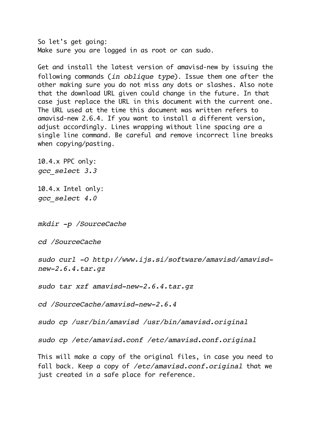So let's get going: Make sure you are logged in as root or can sudo.

Get and install the latest version of amavisd-new by issuing the following commands (*in oblique type*). Issue them one after the other making sure you do not miss any dots or slashes. Also note that the download URL given could change in the future. In that case just replace the URL in this document with the current one. The URL used at the time this document was written refers to amavisd-new 2.6.4. If you want to install a different version, adjust accordingly. Lines wrapping without line spacing are a single line command. Be careful and remove incorrect line breaks when copying/pasting.

10.4.x PPC only: *gcc\_select 3.3*

10.4.x Intel only: *gcc\_select 4.0*

*mkdir -p /SourceCache*

*cd /SourceCache*

*sudo curl -O http://www.ijs.si/software/amavisd/amavisdnew-2.6.4.tar.gz*

*sudo tar xzf amavisd-new-2.6.4.tar.gz*

*cd /SourceCache/amavisd-new-2.6.4* 

*sudo cp /usr/bin/amavisd /usr/bin/amavisd.original*

*sudo cp /etc/amavisd.conf /etc/amavisd.conf.original*

This will make a copy of the original files, in case you need to fall back. Keep a copy of */etc/amavisd.conf.original* that we just created in a safe place for reference.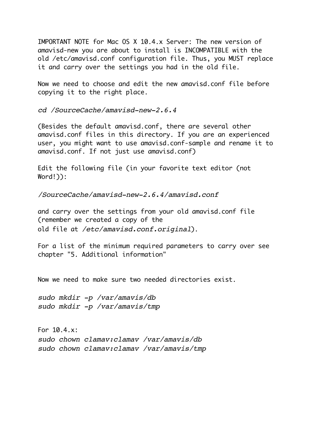IMPORTANT NOTE for Mac OS X 10.4.x Server: The new version of amavisd-new you are about to install is INCOMPATIBLE with the old /etc/amavisd.conf configuration file. Thus, you MUST replace it and carry over the settings you had in the old file.

Now we need to choose and edit the new amavisd.conf file before copying it to the right place.

*cd /SourceCache/amavisd-new-2.6.4* 

(Besides the default amavisd.conf, there are several other amavisd.conf files in this directory. If you are an experienced user, you might want to use amavisd.conf-sample and rename it to amavisd.conf. If not just use amavisd.conf)

Edit the following file (in your favorite text editor (not Word!)):

*/SourceCache/amavisd-new-2.6.4/amavisd.conf*

and carry over the settings from your old amavisd.conf file (remember we created a copy of the old file at */etc/amavisd.conf.original*).

For a list of the minimum required parameters to carry over see chapter "5. Additional information"

Now we need to make sure two needed directories exist.

*sudo mkdir -p /var/amavis/db sudo mkdir -p /var/amavis/tmp*

For 10.4.x: *sudo chown clamav:clamav /var/amavis/db sudo chown clamav:clamav /var/amavis/tmp*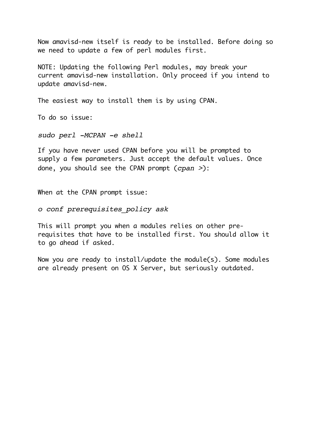Now amavisd-new itself is ready to be installed. Before doing so we need to update a few of perl modules first.

NOTE: Updating the following Perl modules, may break your current amavisd-new installation. Only proceed if you intend to update amavisd-new.

The easiest way to install them is by using CPAN.

To do so issue:

*sudo perl -MCPAN -e shell*

If you have never used CPAN before you will be prompted to supply a few parameters. Just accept the default values. Once done, you should see the CPAN prompt (*cpan >*):

When at the CPAN prompt issue:

*o conf prerequisites\_policy ask*

This will prompt you when a modules relies on other prerequisites that have to be installed first. You should allow it to go ahead if asked.

Now you are ready to install/update the module(s). Some modules are already present on OS X Server, but seriously outdated.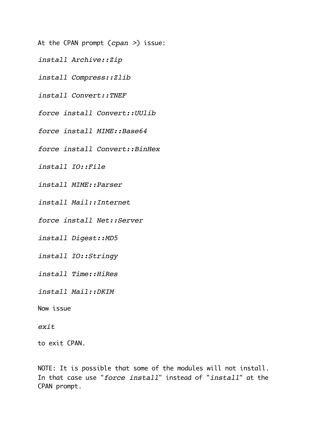- At the CPAN prompt (*cpan >*) issue:
- *install Archive::Zip*
- *install Compress::Zlib*
- *install Convert::TNEF*
- *force install Convert::UUlib*
- *force install MIME::Base64*
- *force install Convert::BinHex*
- *install IO::File*
- *install MIME::Parser*
- *install Mail::Internet*
- *force install Net::Server*
- *install Digest::MD5*
- *install IO::Stringy*
- *install Time::HiRes*
- *install Mail::DKIM*
- Now issue

#### *exit*

to exit CPAN.

NOTE: It is possible that some of the modules will not install. In that case use "*force install*" instead of "*install*" at the CPAN prompt.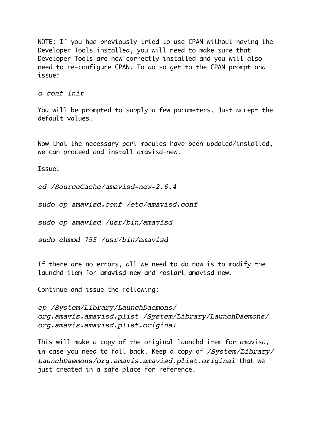NOTE: If you had previously tried to use CPAN without having the Developer Tools installed, you will need to make sure that Developer Tools are now correctly installed and you will also need to re-configure CPAN. To do so get to the CPAN prompt and issue:

*o conf init*

You will be prompted to supply a few parameters. Just accept the default values.

Now that the necessary perl modules have been updated/installed, we can proceed and install amavisd-new.

Issue:

*cd /SourceCache/amavisd-new-2.6.4*

*sudo cp amavisd.conf /etc/amavisd.conf*

*sudo cp amavisd /usr/bin/amavisd*

*sudo chmod 755 /usr/bin/amavisd*

If there are no errors, all we need to do now is to modify the launchd item for amavisd-new and restart amavisd-new.

Continue and issue the following:

*cp /System/Library/LaunchDaemons/ org.amavis.amavisd.plist /System/Library/LaunchDaemons/ org.amavis.amavisd.plist.original*

This will make a copy of the original launchd item for amavisd, in case you need to fall back. Keep a copy of */System/Library/ LaunchDaemons/org.amavis.amavisd.plist.original* that we just created in a safe place for reference.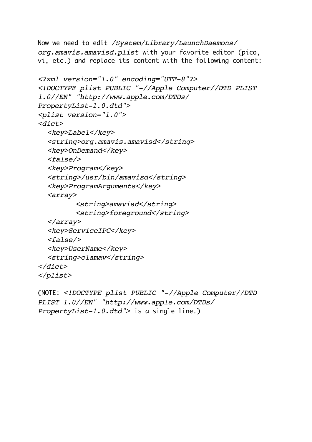```
Now we need to edit /System/Library/LaunchDaemons/
org.amavis.amavisd.plist with your favorite editor (pico, 
vi, etc.) and replace its content with the following content:
<?xml version="1.0" encoding="UTF-8"?>
<!DOCTYPE plist PUBLIC "-//Apple Computer//DTD PLIST 
1.0//EN" "http://www.apple.com/DTDs/
PropertyList-1.0.dtd">
<plist version="1.0">
<dict>
  <key>Label</key>
  <string>org.amavis.amavisd</string>
  <key>OnDemand</key>
  <false/>
  <key>Program</key>
  <string>/usr/bin/amavisd</string>
  <key>ProgramArguments</key>
  <array>
         <string>amavisd</string>
         <string>foreground</string>
  </array>
  <key>ServiceIPC</key>
  <false/>
  <key>UserName</key>
  <string>clamav</string>
</dict>
</plist>
```

```
(NOTE: <!DOCTYPE plist PUBLIC "-//Apple Computer//DTD 
PLIST 1.0//EN" "http://www.apple.com/DTDs/
PropertyList-1.0.dtd"> is a single line.)
```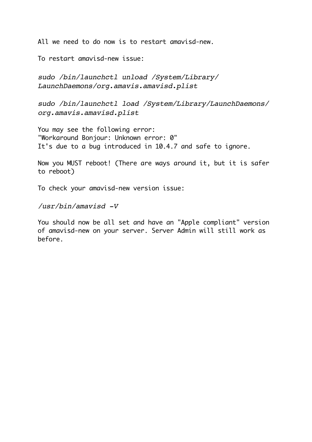All we need to do now is to restart amavisd-new.

To restart amavisd-new issue:

*sudo /bin/launchctl unload /System/Library/ LaunchDaemons/org.amavis.amavisd.plist*

*sudo /bin/launchctl load /System/Library/LaunchDaemons/ org.amavis.amavisd.plist*

You may see the following error: "Workaround Bonjour: Unknown error: 0" It's due to a bug introduced in 10.4.7 and safe to ignore.

Now you MUST reboot! (There are ways around it, but it is safer to reboot)

To check your amavisd-new version issue:

*/usr/bin/amavisd -V*

You should now be all set and have an "Apple compliant" version of amavisd-new on your server. Server Admin will still work as before.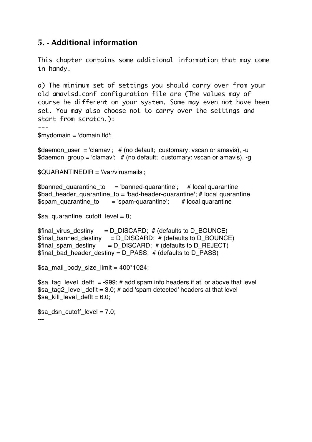#### **5. - Additional information**

This chapter contains some additional information that may come in handy.

a) The minimum set of settings you should carry over from your old amavisd.conf configuration file are (The values may of course be different on your system. Some may even not have been set. You may also choose not to carry over the settings and start from scratch.):

---

\$mydomain = 'domain.tld';

\$daemon\_user = 'clamav';  $#$  (no default; customary: vscan or amavis), -u \$daemon\_group = 'clamav';  $#$  (no default; customary: vscan or amavis), -g

\$QUARANTINEDIR = '/var/virusmails';

\$banned quarantine to  $=$  'banned-quarantine'; # local quarantine \$bad header quarantine to = 'bad-header-quarantine'; # local quarantine \$spam\_quarantine\_to = 'spam-quarantine'; # local quarantine

\$sa\_quarantine\_cutoff\_level = 8;

 $$final$  virus destiny = D\_DISCARD; # (defaults to D\_BOUNCE)  $$final\_banned\_destiny = D_DISCARD; # (defaults to D_BOUNCE)$  $$final$  spam\_destiny = D\_DISCARD; # (defaults to D\_REJECT)  $$final$  bad header destiny = D PASS; # (defaults to D PASS)

\$sa\_mail\_body\_size\_limit =  $400*1024$ ;

\$sa tag level defit  $=$  -999; # add spam info headers if at, or above that level \$sa\_tag2\_level\_deflt =  $3.0$ ; # add 'spam detected' headers at that level \$sa kill level deflt = 6.0;

\$sa\_dsn\_cutoff\_level = 7.0; ---